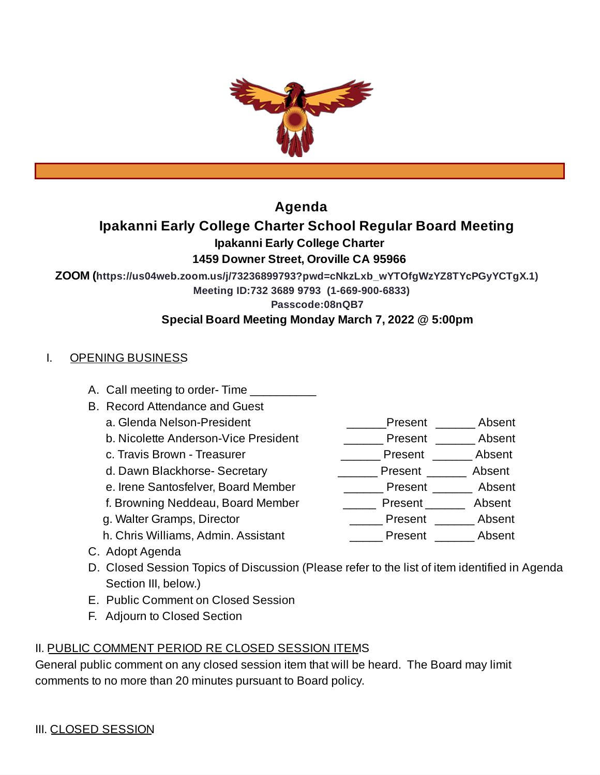

# **Agenda**

# **Ipakanni Early College Charter School Regular Board Meeting**

**Ipakanni Early College Charter**

## **1459 Downer Street, Oroville CA 95966**

**ZOOM (https://us04web.zoom.us/j/73236899793?pwd=cNkzLxb\_wYTOfgWzYZ8TYcPGyYCTgX.1)**

**Meeting ID:732 3689 9793 (1-669-900-6833)**

**Passcode:08nQB7**

## **Special Board Meeting Monday March 7, 2022 @ 5:00pm**

## I. OPENING BUSINESS

- A. Call meeting to order-Time
- B. Record Attendance and Guest
	-
	- b. Nicolette Anderson-Vice President \_\_\_\_\_\_\_\_\_ Present \_\_\_\_\_\_\_ Absent
	-
	- d. Dawn Blackhorse- Secretary \_\_\_\_\_\_\_\_\_\_\_\_ Present \_\_\_\_\_\_\_ Absent
	- e. Irene Santosfelver, Board Member \_\_\_\_\_\_\_\_\_\_ Present \_\_\_\_\_\_\_ Absent
	- f. Browning Neddeau, Board Member \_\_\_\_\_\_\_\_ Present \_\_\_\_\_\_\_ Absent
	-
	- h. Chris Williams, Admin. Assistant **Example 20 Present** Absent
- a. Glenda Nelson-President and all controller and the Senate of Present and Absent
	-
- c. Travis Brown Treasurer \_\_\_\_\_\_\_\_\_\_\_\_\_\_\_\_\_\_\_\_\_\_\_\_Present \_\_\_\_\_\_\_\_\_ Absent
	-
	-
	-
- g. Walter Gramps, Director \_\_\_\_\_ Present \_\_\_\_\_\_ Absent
	-

- C. Adopt Agenda
- D. Closed Session Topics of Discussion (Please refer to the list of item identified in Agenda Section III, below.)
- E. Public Comment on Closed Session
- F. Adjourn to Closed Section

## II. PUBLIC COMMENT PERIOD RE CLOSED SESSION ITEMS

General public comment on any closed session item that will be heard. The Board may limit comments to no more than 20 minutes pursuant to Board policy.

- 
- -
-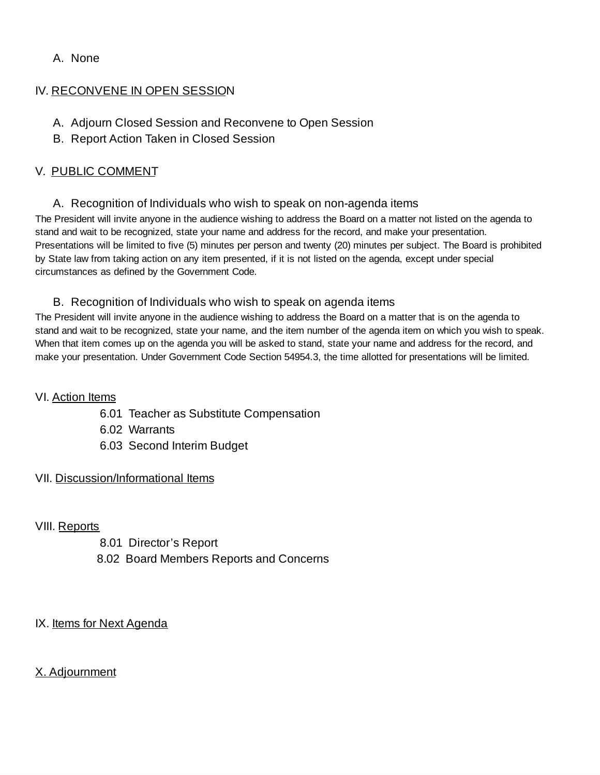### A. None

### IV. RECONVENE IN OPEN SESSION

- A. Adjourn Closed Session and Reconvene to Open Session
- B. Report Action Taken in Closed Session

### V. PUBLIC COMMENT

### A. Recognition of Individuals who wish to speak on non-agenda items

The President will invite anyone in the audience wishing to address the Board on a matter not listed on the agenda to stand and wait to be recognized, state your name and address for the record, and make your presentation. Presentations will be limited to five (5) minutes per person and twenty (20) minutes per subject. The Board is prohibited by State law from taking action on any item presented, if it is not listed on the agenda, except under special circumstances as defined by the Government Code.

### B. Recognition of Individuals who wish to speak on agenda items

The President will invite anyone in the audience wishing to address the Board on a matter that is on the agenda to stand and wait to be recognized, state your name, and the item number of the agenda item on which you wish to speak. When that item comes up on the agenda you will be asked to stand, state your name and address for the record, and make your presentation. Under Government Code Section 54954.3, the time allotted for presentations will be limited.

### VI. Action Items

- 6.01 Teacher as Substitute Compensation
- 6.02 Warrants
- 6.03 Second Interim Budget

### VII. Discussion/Informational Items

VIII. Reports

8.01 Director's Report 8.02 Board Members Reports and Concerns

IX. Items for Next Agenda

X. Adjournment